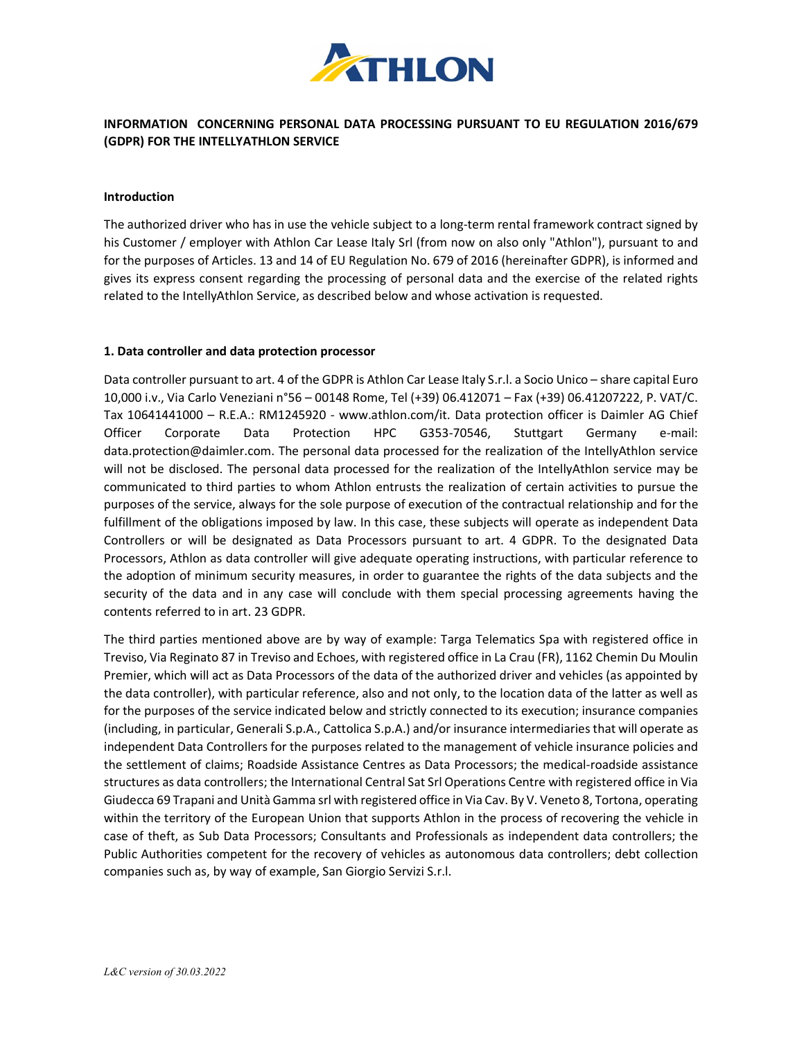

# INFORMATION CONCERNING PERSONAL DATA PROCESSING PURSUANT TO EU REGULATION 2016/679 (GDPR) FOR THE INTELLYATHLON SERVICE

#### Introduction

The authorized driver who has in use the vehicle subject to a long-term rental framework contract signed by his Customer / employer with Athlon Car Lease Italy Srl (from now on also only "Athlon"), pursuant to and for the purposes of Articles. 13 and 14 of EU Regulation No. 679 of 2016 (hereinafter GDPR), is informed and gives its express consent regarding the processing of personal data and the exercise of the related rights related to the IntellyAthlon Service, as described below and whose activation is requested.

#### 1. Data controller and data protection processor

Data controller pursuant to art. 4 of the GDPR is Athlon Car Lease Italy S.r.l. a Socio Unico – share capital Euro 10,000 i.v., Via Carlo Veneziani n°56 – 00148 Rome, Tel (+39) 06.412071 – Fax (+39) 06.41207222, P. VAT/C. Tax 10641441000 – R.E.A.: RM1245920 - www.athlon.com/it. Data protection officer is Daimler AG Chief Officer Corporate Data Protection HPC G353-70546, Stuttgart Germany e-mail: data.protection@daimler.com. The personal data processed for the realization of the IntellyAthlon service will not be disclosed. The personal data processed for the realization of the IntellyAthlon service may be communicated to third parties to whom Athlon entrusts the realization of certain activities to pursue the purposes of the service, always for the sole purpose of execution of the contractual relationship and for the fulfillment of the obligations imposed by law. In this case, these subjects will operate as independent Data Controllers or will be designated as Data Processors pursuant to art. 4 GDPR. To the designated Data Processors, Athlon as data controller will give adequate operating instructions, with particular reference to the adoption of minimum security measures, in order to guarantee the rights of the data subjects and the security of the data and in any case will conclude with them special processing agreements having the contents referred to in art. 23 GDPR.

The third parties mentioned above are by way of example: Targa Telematics Spa with registered office in Treviso, Via Reginato 87 in Treviso and Echoes, with registered office in La Crau (FR), 1162 Chemin Du Moulin Premier, which will act as Data Processors of the data of the authorized driver and vehicles (as appointed by the data controller), with particular reference, also and not only, to the location data of the latter as well as for the purposes of the service indicated below and strictly connected to its execution; insurance companies (including, in particular, Generali S.p.A., Cattolica S.p.A.) and/or insurance intermediaries that will operate as independent Data Controllers for the purposes related to the management of vehicle insurance policies and the settlement of claims; Roadside Assistance Centres as Data Processors; the medical-roadside assistance structures as data controllers; the International Central Sat Srl Operations Centre with registered office in Via Giudecca 69 Trapani and Unità Gamma srl with registered office in Via Cav. By V. Veneto 8, Tortona, operating within the territory of the European Union that supports Athlon in the process of recovering the vehicle in case of theft, as Sub Data Processors; Consultants and Professionals as independent data controllers; the Public Authorities competent for the recovery of vehicles as autonomous data controllers; debt collection companies such as, by way of example, San Giorgio Servizi S.r.l.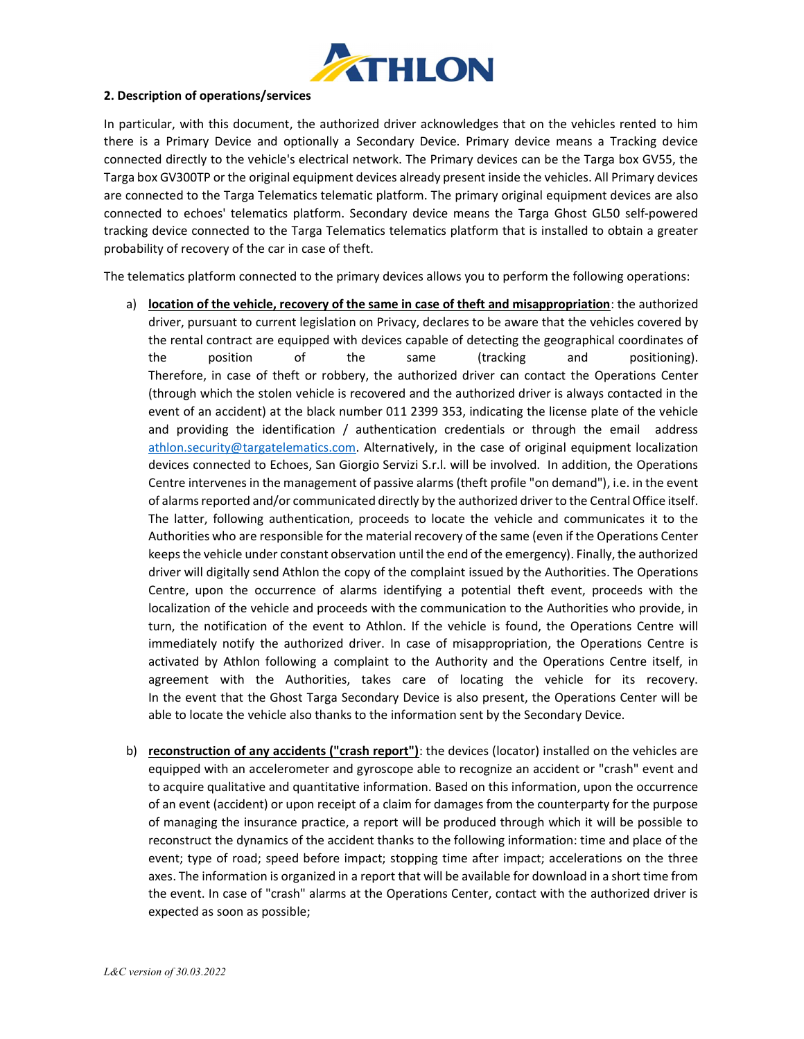

## 2. Description of operations/services

In particular, with this document, the authorized driver acknowledges that on the vehicles rented to him there is a Primary Device and optionally a Secondary Device. Primary device means a Tracking device connected directly to the vehicle's electrical network. The Primary devices can be the Targa box GV55, the Targa box GV300TP or the original equipment devices already present inside the vehicles. All Primary devices are connected to the Targa Telematics telematic platform. The primary original equipment devices are also connected to echoes' telematics platform. Secondary device means the Targa Ghost GL50 self-powered tracking device connected to the Targa Telematics telematics platform that is installed to obtain a greater probability of recovery of the car in case of theft.

The telematics platform connected to the primary devices allows you to perform the following operations:

- a) location of the vehicle, recovery of the same in case of theft and misappropriation: the authorized driver, pursuant to current legislation on Privacy, declares to be aware that the vehicles covered by the rental contract are equipped with devices capable of detecting the geographical coordinates of the position of the same (tracking and positioning). Therefore, in case of theft or robbery, the authorized driver can contact the Operations Center (through which the stolen vehicle is recovered and the authorized driver is always contacted in the event of an accident) at the black number 011 2399 353, indicating the license plate of the vehicle and providing the identification / authentication credentials or through the email address athlon.security@targatelematics.com. Alternatively, in the case of original equipment localization devices connected to Echoes, San Giorgio Servizi S.r.l. will be involved. In addition, the Operations Centre intervenes in the management of passive alarms (theft profile "on demand"), i.e. in the event of alarms reported and/or communicated directly by the authorized driver to the Central Office itself. The latter, following authentication, proceeds to locate the vehicle and communicates it to the Authorities who are responsible for the material recovery of the same (even if the Operations Center keeps the vehicle under constant observation until the end of the emergency). Finally, the authorized driver will digitally send Athlon the copy of the complaint issued by the Authorities. The Operations Centre, upon the occurrence of alarms identifying a potential theft event, proceeds with the localization of the vehicle and proceeds with the communication to the Authorities who provide, in turn, the notification of the event to Athlon. If the vehicle is found, the Operations Centre will immediately notify the authorized driver. In case of misappropriation, the Operations Centre is activated by Athlon following a complaint to the Authority and the Operations Centre itself, in agreement with the Authorities, takes care of locating the vehicle for its recovery. In the event that the Ghost Targa Secondary Device is also present, the Operations Center will be able to locate the vehicle also thanks to the information sent by the Secondary Device.
- b) reconstruction of any accidents ("crash report"): the devices (locator) installed on the vehicles are equipped with an accelerometer and gyroscope able to recognize an accident or "crash" event and to acquire qualitative and quantitative information. Based on this information, upon the occurrence of an event (accident) or upon receipt of a claim for damages from the counterparty for the purpose of managing the insurance practice, a report will be produced through which it will be possible to reconstruct the dynamics of the accident thanks to the following information: time and place of the event; type of road; speed before impact; stopping time after impact; accelerations on the three axes. The information is organized in a report that will be available for download in a short time from the event. In case of "crash" alarms at the Operations Center, contact with the authorized driver is expected as soon as possible;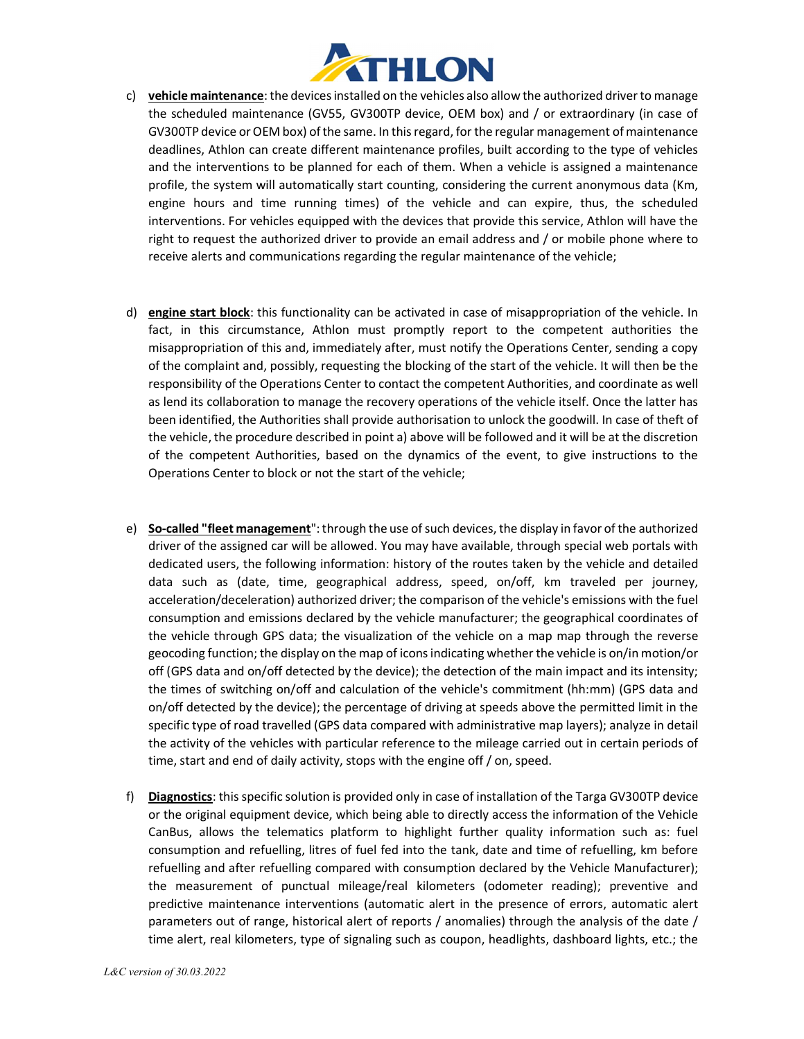

- c) vehicle maintenance: the devices installed on the vehicles also allow the authorized driver to manage the scheduled maintenance (GV55, GV300TP device, OEM box) and / or extraordinary (in case of GV300TP device or OEM box) of the same. In this regard, for the regular management of maintenance deadlines, Athlon can create different maintenance profiles, built according to the type of vehicles and the interventions to be planned for each of them. When a vehicle is assigned a maintenance profile, the system will automatically start counting, considering the current anonymous data (Km, engine hours and time running times) of the vehicle and can expire, thus, the scheduled interventions. For vehicles equipped with the devices that provide this service, Athlon will have the right to request the authorized driver to provide an email address and / or mobile phone where to receive alerts and communications regarding the regular maintenance of the vehicle;
- d) engine start block: this functionality can be activated in case of misappropriation of the vehicle. In fact, in this circumstance, Athlon must promptly report to the competent authorities the misappropriation of this and, immediately after, must notify the Operations Center, sending a copy of the complaint and, possibly, requesting the blocking of the start of the vehicle. It will then be the responsibility of the Operations Center to contact the competent Authorities, and coordinate as well as lend its collaboration to manage the recovery operations of the vehicle itself. Once the latter has been identified, the Authorities shall provide authorisation to unlock the goodwill. In case of theft of the vehicle, the procedure described in point a) above will be followed and it will be at the discretion of the competent Authorities, based on the dynamics of the event, to give instructions to the Operations Center to block or not the start of the vehicle;
- e) So-called "fleet management": through the use of such devices, the display in favor of the authorized driver of the assigned car will be allowed. You may have available, through special web portals with dedicated users, the following information: history of the routes taken by the vehicle and detailed data such as (date, time, geographical address, speed, on/off, km traveled per journey, acceleration/deceleration) authorized driver; the comparison of the vehicle's emissions with the fuel consumption and emissions declared by the vehicle manufacturer; the geographical coordinates of the vehicle through GPS data; the visualization of the vehicle on a map map through the reverse geocoding function; the display on the map of icons indicating whether the vehicle is on/in motion/or off (GPS data and on/off detected by the device); the detection of the main impact and its intensity; the times of switching on/off and calculation of the vehicle's commitment (hh:mm) (GPS data and on/off detected by the device); the percentage of driving at speeds above the permitted limit in the specific type of road travelled (GPS data compared with administrative map layers); analyze in detail the activity of the vehicles with particular reference to the mileage carried out in certain periods of time, start and end of daily activity, stops with the engine off / on, speed.
- f) Diagnostics: this specific solution is provided only in case of installation of the Targa GV300TP device or the original equipment device, which being able to directly access the information of the Vehicle CanBus, allows the telematics platform to highlight further quality information such as: fuel consumption and refuelling, litres of fuel fed into the tank, date and time of refuelling, km before refuelling and after refuelling compared with consumption declared by the Vehicle Manufacturer); the measurement of punctual mileage/real kilometers (odometer reading); preventive and predictive maintenance interventions (automatic alert in the presence of errors, automatic alert parameters out of range, historical alert of reports / anomalies) through the analysis of the date / time alert, real kilometers, type of signaling such as coupon, headlights, dashboard lights, etc.; the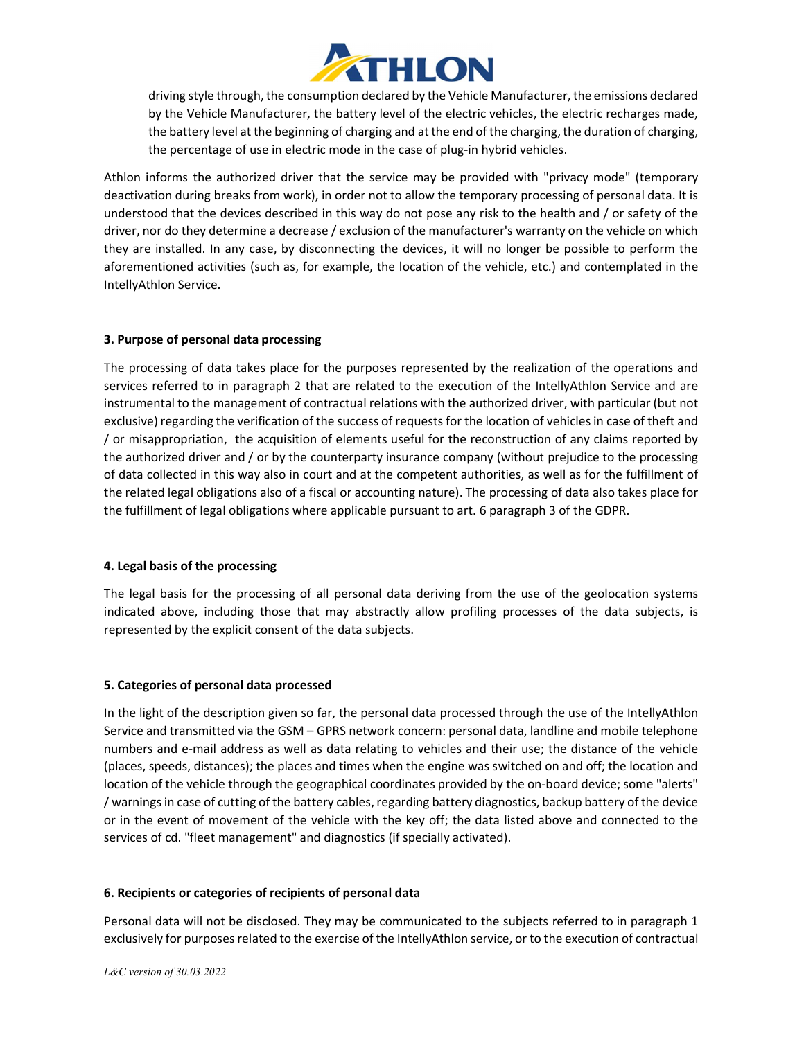

driving style through, the consumption declared by the Vehicle Manufacturer, the emissions declared by the Vehicle Manufacturer, the battery level of the electric vehicles, the electric recharges made, the battery level at the beginning of charging and at the end of the charging, the duration of charging, the percentage of use in electric mode in the case of plug-in hybrid vehicles.

Athlon informs the authorized driver that the service may be provided with "privacy mode" (temporary deactivation during breaks from work), in order not to allow the temporary processing of personal data. It is understood that the devices described in this way do not pose any risk to the health and / or safety of the driver, nor do they determine a decrease / exclusion of the manufacturer's warranty on the vehicle on which they are installed. In any case, by disconnecting the devices, it will no longer be possible to perform the aforementioned activities (such as, for example, the location of the vehicle, etc.) and contemplated in the IntellyAthlon Service.

## 3. Purpose of personal data processing

The processing of data takes place for the purposes represented by the realization of the operations and services referred to in paragraph 2 that are related to the execution of the IntellyAthlon Service and are instrumental to the management of contractual relations with the authorized driver, with particular (but not exclusive) regarding the verification of the success of requests for the location of vehicles in case of theft and / or misappropriation, the acquisition of elements useful for the reconstruction of any claims reported by the authorized driver and / or by the counterparty insurance company (without prejudice to the processing of data collected in this way also in court and at the competent authorities, as well as for the fulfillment of the related legal obligations also of a fiscal or accounting nature). The processing of data also takes place for the fulfillment of legal obligations where applicable pursuant to art. 6 paragraph 3 of the GDPR.

## 4. Legal basis of the processing

The legal basis for the processing of all personal data deriving from the use of the geolocation systems indicated above, including those that may abstractly allow profiling processes of the data subjects, is represented by the explicit consent of the data subjects.

## 5. Categories of personal data processed

In the light of the description given so far, the personal data processed through the use of the IntellyAthlon Service and transmitted via the GSM – GPRS network concern: personal data, landline and mobile telephone numbers and e-mail address as well as data relating to vehicles and their use; the distance of the vehicle (places, speeds, distances); the places and times when the engine was switched on and off; the location and location of the vehicle through the geographical coordinates provided by the on-board device; some "alerts" / warnings in case of cutting of the battery cables, regarding battery diagnostics, backup battery of the device or in the event of movement of the vehicle with the key off; the data listed above and connected to the services of cd. "fleet management" and diagnostics (if specially activated).

## 6. Recipients or categories of recipients of personal data

Personal data will not be disclosed. They may be communicated to the subjects referred to in paragraph 1 exclusively for purposes related to the exercise of the IntellyAthlon service, or to the execution of contractual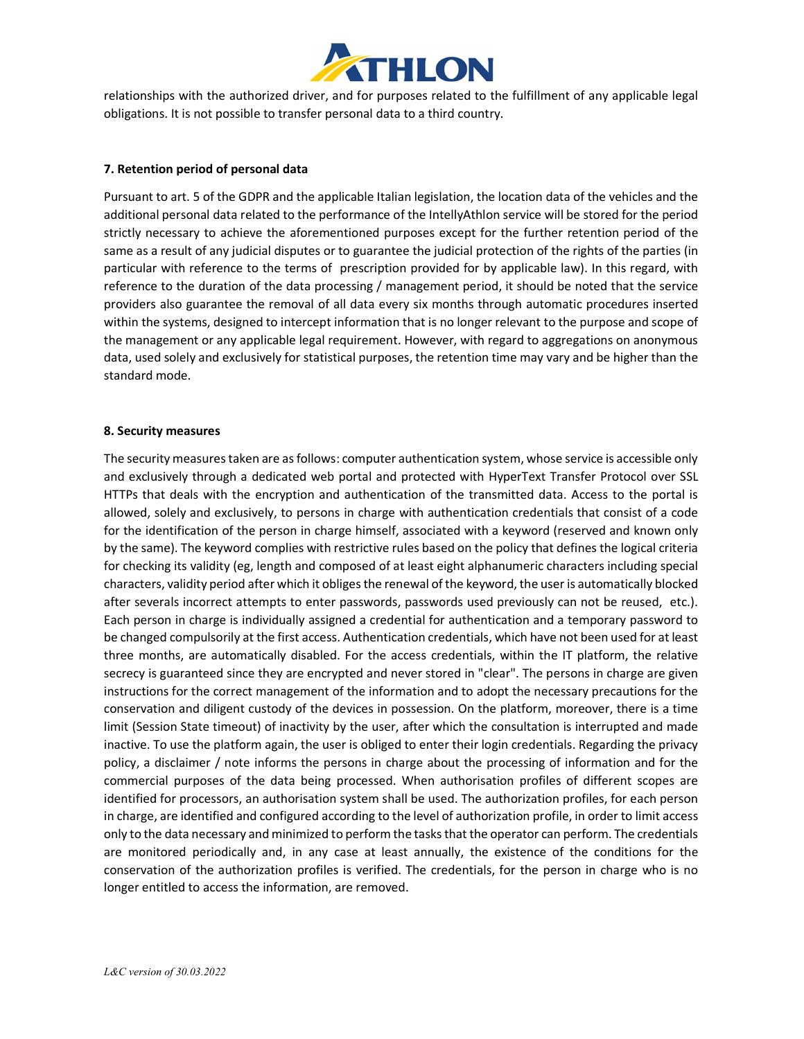

relationships with the authorized driver, and for purposes related to the fulfillment of any applicable legal obligations. It is not possible to transfer personal data to a third country.

#### 7. Retention period of personal data

Pursuant to art. 5 of the GDPR and the applicable Italian legislation, the location data of the vehicles and the additional personal data related to the performance of the IntellyAthlon service will be stored for the period strictly necessary to achieve the aforementioned purposes except for the further retention period of the same as a result of any judicial disputes or to guarantee the judicial protection of the rights of the parties (in particular with reference to the terms of prescription provided for by applicable law). In this regard, with reference to the duration of the data processing / management period, it should be noted that the service providers also guarantee the removal of all data every six months through automatic procedures inserted within the systems, designed to intercept information that is no longer relevant to the purpose and scope of the management or any applicable legal requirement. However, with regard to aggregations on anonymous data, used solely and exclusively for statistical purposes, the retention time may vary and be higher than the standard mode.

#### 8. Security measures

The security measures taken are as follows: computer authentication system, whose service is accessible only and exclusively through a dedicated web portal and protected with HyperText Transfer Protocol over SSL HTTPs that deals with the encryption and authentication of the transmitted data. Access to the portal is allowed, solely and exclusively, to persons in charge with authentication credentials that consist of a code for the identification of the person in charge himself, associated with a keyword (reserved and known only by the same). The keyword complies with restrictive rules based on the policy that defines the logical criteria for checking its validity (eg, length and composed of at least eight alphanumeric characters including special characters, validity period after which it obliges the renewal of the keyword, the user is automatically blocked after severals incorrect attempts to enter passwords, passwords used previously can not be reused, etc.). Each person in charge is individually assigned a credential for authentication and a temporary password to be changed compulsorily at the first access. Authentication credentials, which have not been used for at least three months, are automatically disabled. For the access credentials, within the IT platform, the relative secrecy is guaranteed since they are encrypted and never stored in "clear". The persons in charge are given instructions for the correct management of the information and to adopt the necessary precautions for the conservation and diligent custody of the devices in possession. On the platform, moreover, there is a time limit (Session State timeout) of inactivity by the user, after which the consultation is interrupted and made inactive. To use the platform again, the user is obliged to enter their login credentials. Regarding the privacy policy, a disclaimer / note informs the persons in charge about the processing of information and for the commercial purposes of the data being processed. When authorisation profiles of different scopes are identified for processors, an authorisation system shall be used. The authorization profiles, for each person in charge, are identified and configured according to the level of authorization profile, in order to limit access only to the data necessary and minimized to perform the tasks that the operator can perform. The credentials are monitored periodically and, in any case at least annually, the existence of the conditions for the conservation of the authorization profiles is verified. The credentials, for the person in charge who is no longer entitled to access the information, are removed.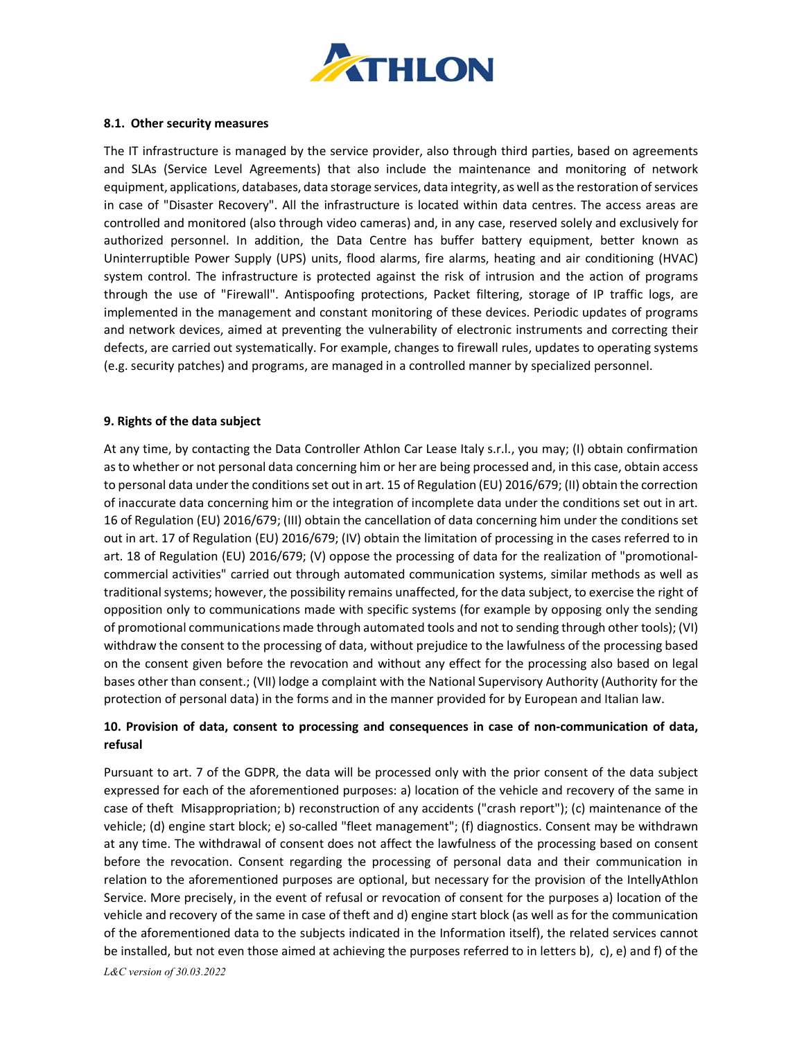

#### 8.1. Other security measures

The IT infrastructure is managed by the service provider, also through third parties, based on agreements and SLAs (Service Level Agreements) that also include the maintenance and monitoring of network equipment, applications, databases, data storage services, data integrity, as well as the restoration of services in case of "Disaster Recovery". All the infrastructure is located within data centres. The access areas are controlled and monitored (also through video cameras) and, in any case, reserved solely and exclusively for authorized personnel. In addition, the Data Centre has buffer battery equipment, better known as Uninterruptible Power Supply (UPS) units, flood alarms, fire alarms, heating and air conditioning (HVAC) system control. The infrastructure is protected against the risk of intrusion and the action of programs through the use of "Firewall". Antispoofing protections, Packet filtering, storage of IP traffic logs, are implemented in the management and constant monitoring of these devices. Periodic updates of programs and network devices, aimed at preventing the vulnerability of electronic instruments and correcting their defects, are carried out systematically. For example, changes to firewall rules, updates to operating systems (e.g. security patches) and programs, are managed in a controlled manner by specialized personnel.

#### 9. Rights of the data subject

At any time, by contacting the Data Controller Athlon Car Lease Italy s.r.l., you may; (I) obtain confirmation as to whether or not personal data concerning him or her are being processed and, in this case, obtain access to personal data under the conditions set out in art. 15 of Regulation (EU) 2016/679; (II) obtain the correction of inaccurate data concerning him or the integration of incomplete data under the conditions set out in art. 16 of Regulation (EU) 2016/679; (III) obtain the cancellation of data concerning him under the conditions set out in art. 17 of Regulation (EU) 2016/679; (IV) obtain the limitation of processing in the cases referred to in art. 18 of Regulation (EU) 2016/679; (V) oppose the processing of data for the realization of "promotionalcommercial activities" carried out through automated communication systems, similar methods as well as traditional systems; however, the possibility remains unaffected, for the data subject, to exercise the right of opposition only to communications made with specific systems (for example by opposing only the sending of promotional communications made through automated tools and not to sending through other tools); (VI) withdraw the consent to the processing of data, without prejudice to the lawfulness of the processing based on the consent given before the revocation and without any effect for the processing also based on legal bases other than consent.; (VII) lodge a complaint with the National Supervisory Authority (Authority for the protection of personal data) in the forms and in the manner provided for by European and Italian law.

# 10. Provision of data, consent to processing and consequences in case of non-communication of data, refusal

L&C version of 30.03.2022 Pursuant to art. 7 of the GDPR, the data will be processed only with the prior consent of the data subject expressed for each of the aforementioned purposes: a) location of the vehicle and recovery of the same in case of theft Misappropriation; b) reconstruction of any accidents ("crash report"); (c) maintenance of the vehicle; (d) engine start block; e) so-called "fleet management"; (f) diagnostics. Consent may be withdrawn at any time. The withdrawal of consent does not affect the lawfulness of the processing based on consent before the revocation. Consent regarding the processing of personal data and their communication in relation to the aforementioned purposes are optional, but necessary for the provision of the IntellyAthlon Service. More precisely, in the event of refusal or revocation of consent for the purposes a) location of the vehicle and recovery of the same in case of theft and d) engine start block (as well as for the communication of the aforementioned data to the subjects indicated in the Information itself), the related services cannot be installed, but not even those aimed at achieving the purposes referred to in letters b), c), e) and f) of the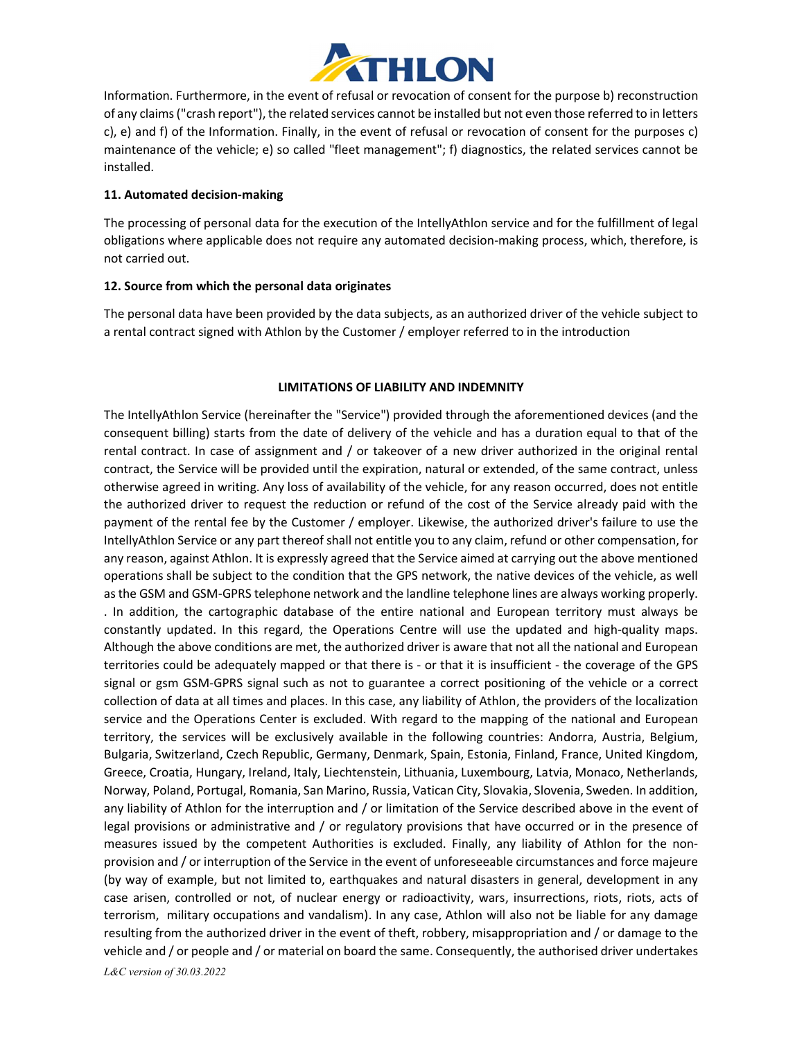

Information. Furthermore, in the event of refusal or revocation of consent for the purpose b) reconstruction of any claims ("crash report"), the related services cannot be installed but not even those referred to in letters c), e) and f) of the Information. Finally, in the event of refusal or revocation of consent for the purposes c) maintenance of the vehicle; e) so called "fleet management"; f) diagnostics, the related services cannot be installed.

# 11. Automated decision-making

The processing of personal data for the execution of the IntellyAthlon service and for the fulfillment of legal obligations where applicable does not require any automated decision-making process, which, therefore, is not carried out.

# 12. Source from which the personal data originates

The personal data have been provided by the data subjects, as an authorized driver of the vehicle subject to a rental contract signed with Athlon by the Customer / employer referred to in the introduction

# LIMITATIONS OF LIABILITY AND INDEMNITY

L&C version of 30.03.2022 The IntellyAthlon Service (hereinafter the "Service") provided through the aforementioned devices (and the consequent billing) starts from the date of delivery of the vehicle and has a duration equal to that of the rental contract. In case of assignment and / or takeover of a new driver authorized in the original rental contract, the Service will be provided until the expiration, natural or extended, of the same contract, unless otherwise agreed in writing. Any loss of availability of the vehicle, for any reason occurred, does not entitle the authorized driver to request the reduction or refund of the cost of the Service already paid with the payment of the rental fee by the Customer / employer. Likewise, the authorized driver's failure to use the IntellyAthlon Service or any part thereof shall not entitle you to any claim, refund or other compensation, for any reason, against Athlon. It is expressly agreed that the Service aimed at carrying out the above mentioned operations shall be subject to the condition that the GPS network, the native devices of the vehicle, as well as the GSM and GSM-GPRS telephone network and the landline telephone lines are always working properly. . In addition, the cartographic database of the entire national and European territory must always be constantly updated. In this regard, the Operations Centre will use the updated and high-quality maps. Although the above conditions are met, the authorized driver is aware that not all the national and European territories could be adequately mapped or that there is - or that it is insufficient - the coverage of the GPS signal or gsm GSM-GPRS signal such as not to guarantee a correct positioning of the vehicle or a correct collection of data at all times and places. In this case, any liability of Athlon, the providers of the localization service and the Operations Center is excluded. With regard to the mapping of the national and European territory, the services will be exclusively available in the following countries: Andorra, Austria, Belgium, Bulgaria, Switzerland, Czech Republic, Germany, Denmark, Spain, Estonia, Finland, France, United Kingdom, Greece, Croatia, Hungary, Ireland, Italy, Liechtenstein, Lithuania, Luxembourg, Latvia, Monaco, Netherlands, Norway, Poland, Portugal, Romania, San Marino, Russia, Vatican City, Slovakia, Slovenia, Sweden. In addition, any liability of Athlon for the interruption and / or limitation of the Service described above in the event of legal provisions or administrative and / or regulatory provisions that have occurred or in the presence of measures issued by the competent Authorities is excluded. Finally, any liability of Athlon for the nonprovision and / or interruption of the Service in the event of unforeseeable circumstances and force majeure (by way of example, but not limited to, earthquakes and natural disasters in general, development in any case arisen, controlled or not, of nuclear energy or radioactivity, wars, insurrections, riots, riots, acts of terrorism, military occupations and vandalism). In any case, Athlon will also not be liable for any damage resulting from the authorized driver in the event of theft, robbery, misappropriation and / or damage to the vehicle and / or people and / or material on board the same. Consequently, the authorised driver undertakes